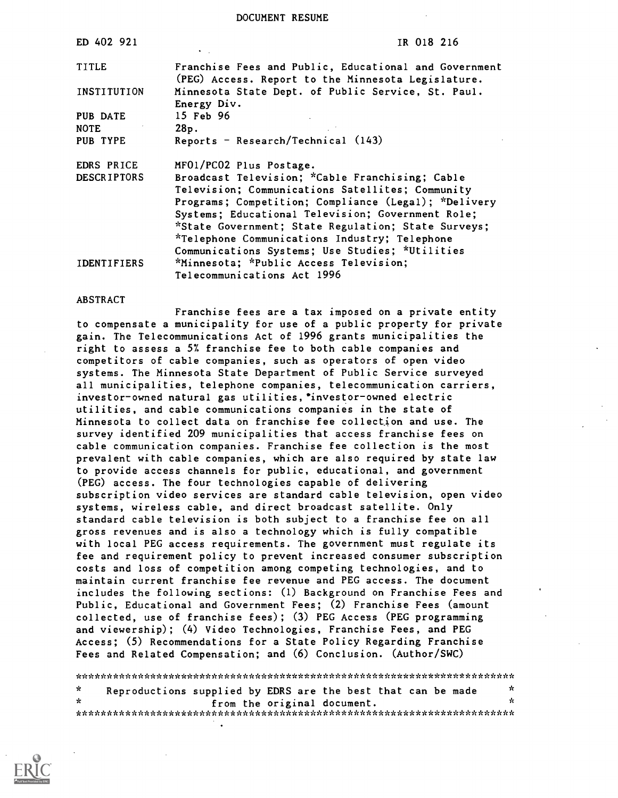DOCUMENT RESUME

| ED 402 921         | IR 018 216                                                                                                  |
|--------------------|-------------------------------------------------------------------------------------------------------------|
| <b>TITLE</b>       | Franchise Fees and Public, Educational and Government<br>(PEG) Access. Report to the Minnesota Legislature. |
| INSTITUTION        | Minnesota State Dept. of Public Service, St. Paul.<br>Energy Div.                                           |
| <b>PUB DATE</b>    | 15 Feb 96                                                                                                   |
| <b>NOTE</b>        | 28p.                                                                                                        |
| PUB TYPE           | $Reports$ - $Research/Technical (143)$                                                                      |
| EDRS PRICE         | MF01/PC02 Plus Postage.                                                                                     |
| <b>DESCRIPTORS</b> | Broadcast Television; *Cable Franchising; Cable                                                             |
|                    | Television; Communications Satellites; Community                                                            |
|                    | Programs; Competition; Compliance (Legal); *Delivery                                                        |
|                    | Systems; Educational Television; Government Role;                                                           |
|                    | *State Government; State Regulation; State Surveys;                                                         |
|                    | *Telephone Communications Industry; Telephone                                                               |
|                    | Communications Systems; Use Studies; *Utilities                                                             |
| <b>IDENTIFIERS</b> | *Minnesota; *Public Access Television;                                                                      |
|                    | Telecommunications Act 1996                                                                                 |

#### ABSTRACT

Franchise fees are a tax imposed on a private entity to compensate a municipality for use of a public property for private gain. The Telecommunications Act of 1996 grants municipalities the right to assess a 5% franchise fee to both cable companies and competitors of cable companies, such as operators of open video systems. The Minnesota State Department of Public Service surveyed all municipalities, telephone companies, telecommunication carriers, investor-owned natural gas utilities,' investor -owned electric utilities, and cable communications companies in the state of Minnesota to collect data on franchise fee collection and use. The survey identified 209 municipalities that access franchise fees on cable communication companies. Franchise fee collection is the most prevalent with cable companies, which are also required by state law to provide access channels for public, educational, and government (PEG) access. The four technologies capable of delivering subscription video services are standard cable television, open video systems, wireless cable, and direct broadcast satellite. Only standard cable television is both subject to a franchise fee on all gross revenues and is also a technology which is fully compatible with local PEG access requirements. The government must regulate its fee and requirement policy to prevent increased consumer subscription costs and loss of competition among competing technologies, and to maintain current franchise fee revenue and PEG access. The document includes the following sections: (1) Background on Franchise Fees and Public, Educational and Government Fees; (2) Franchise Fees (amount collected, use of franchise fees); (3) PEG Access (PEG programming and viewership); (4) Video Technologies, Franchise Fees, and PEG Access; (5) Recommendations for a State Policy Regarding Franchise Fees and Related Compensation; and (6) Conclusion. (Author/SWC)

\*\*\*\*\*\*\*\*\*\*\*\*\*\*\*\*\*\*\*\*\*\*\*\*\*\*\*\*\*\*\*\*\*\*\*\*\*\*\*\*\*\*\*\*\*\*\*\*\*\*\*\*\*\*\*\*\*\*\*\*\*\*\*\*\*\*\*\*\*\*\*  $\mathbf{k}$ Reproductions supplied by EDRS are the best that can be made from the original document. \*\*\*\*\*\*\*\*\*\*\*\*\*\*\*\*\*\*\*\*\*\*\*\*\*\*\*\*\*\*\*\*\*\*\*\*\*\*\*\*\*\*\*\*\*\*\*\*\*\*\*\*\*\*\*\*\*\*\*\*\*\*\*\*\*\*\*\*\*\*\*

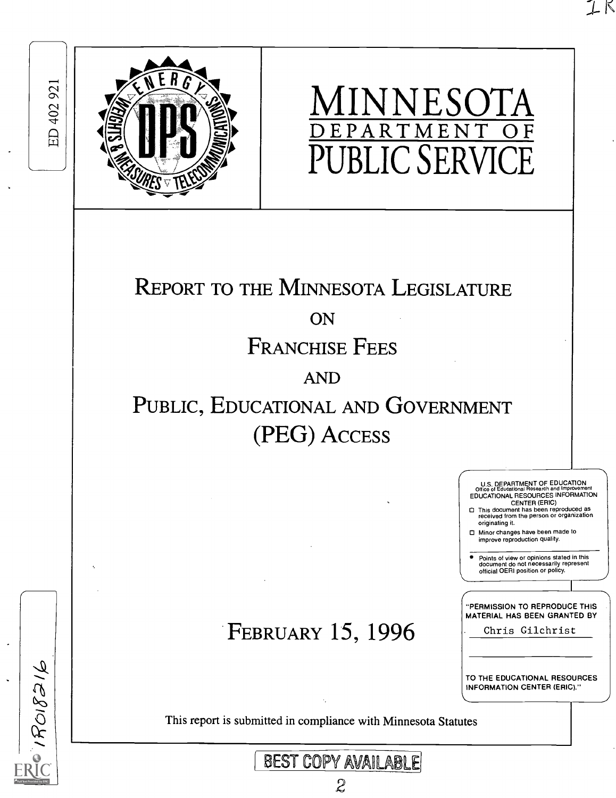$1708216$ 



# MINNESOTA DEPARTMENT OF **BLIC SERV**

# REPORT TO THE MINNESOTA LEGISLATURE

# **ON**

# FRANCHISE FEES

# AND

# PUBLIC, EDUCATIONAL AND GOVERNMENT (PEG) ACCESS

# FEBRUARY 15, 1996

TO THE EDUCATIONAL RESOURCES INFORMATION CENTER (ERIC)."

"PERMISSION TO REPRODUCE THIS MATERIAL HAS BEEN GRANTED BY Chris Gilchrist

U.S. DEPARTMENT OF EDUCATION<br>Office of Educational Research and Improveme Office of Educational Research and Improvement EDUCATIONAL RESOURCES INFORMATION

Minor changes have been made to improve reproduction quality.

CENTER (ERIC) This document has been reproduced as received from the person or organization originating it.

ΙK

Points of view or opinions stated in this document do not necessarily represent official OERI position or policy.

This report is submitted in compliance with Minnesota Statutes

REST COPY AVA11LABLE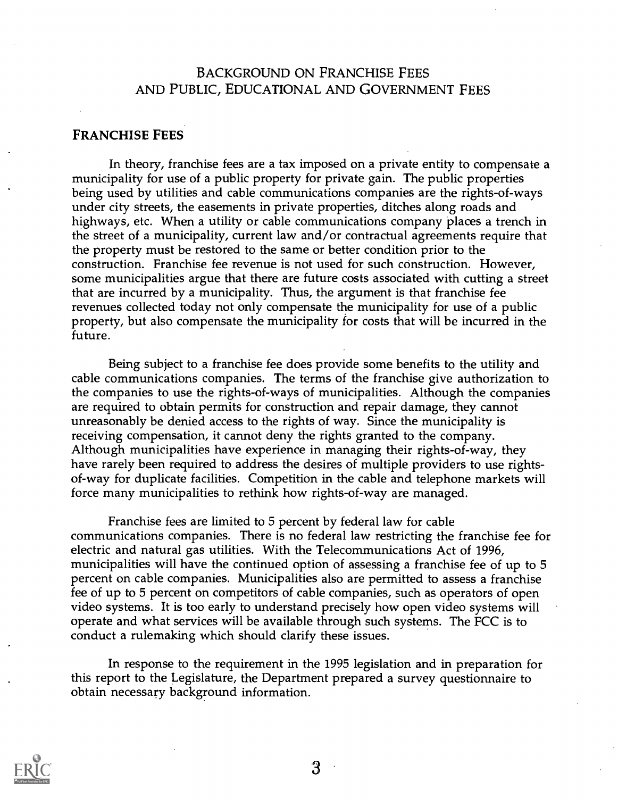### BACKGROUND ON FRANCHISE FEES AND PUBLIC, EDUCATIONAL AND GOVERNMENT FEES

#### FRANCHISE FEES

In theory, franchise fees are a tax imposed on a private entity to compensate a municipality for use of a public property for private gain. The public properties being used by utilities and cable communications companies are the rights-of-ways under city streets, the easements in private properties, ditches along roads and highways, etc. When a utility or cable communications company places a trench in the street of a municipality, current law and/or contractual agreements require that the property must be restored to the same or better condition prior to the construction. Franchise fee revenue is not used for such construction. However, some municipalities argue that there are future costs associated with cutting a street that are incurred by a municipality. Thus, the argument is that franchise fee revenues collected today not only compensate the municipality for use of a public property, but also compensate the municipality for costs that will be incurred in the future.

Being subject to a franchise fee does provide some benefits to the utility and cable communications companies. The terms of the franchise give authorization to the companies to use the rights-of-ways of municipalities. Although the companies are required to obtain permits for construction and repair damage, they cannot unreasonably be denied access to the rights of way. Since the municipality is receiving compensation, it cannot deny the rights granted to the company. Although municipalities have experience in managing their rights-of-way, they have rarely been required to address the desires of multiple providers to use rightsof-way for duplicate facilities. Competition in the cable and telephone markets will force many municipalities to rethink how rights-of-way are managed.

Franchise fees are limited to 5 percent by federal law for cable communications companies. There is no federal law restricting the franchise fee for electric and natural gas utilities. With the Telecommunications Act of 1996, municipalities will have the continued option of assessing a franchise fee of up to 5 percent on cable companies. Municipalities also are permitted to assess a franchise fee of up to 5 percent on competitors of cable companies, such as operators of open video systems. It is too early to understand precisely how open video systems will operate and what services will be available through such systems. The FCC is to conduct a rulemaking which should clarify these issues.

In response to the requirement in the 1995 legislation and in preparation for this report to the Legislature, the Department prepared a survey questionnaire to obtain necessary background information.

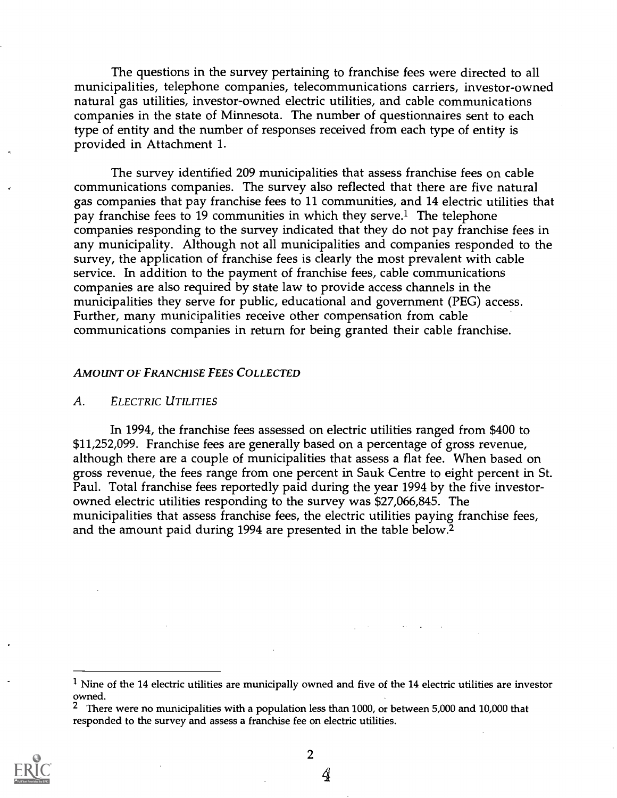The questions in the survey pertaining to franchise fees were directed to all municipalities, telephone companies, telecommunications carriers, investor-owned natural gas utilities, investor-owned electric utilities, and cable communications companies in the state of Minnesota. The number of questionnaires sent to each type of entity and the number of responses received from each type of entity is provided in Attachment 1.

The survey identified 209 municipalities that assess franchise fees on cable communications companies. The survey also reflected that there are five natural gas companies that pay franchise fees to 11 communities, and 14 electric utilities that pay franchise fees to 19 communities in which they serve.<sup>1</sup> The telephone companies responding to the survey indicated that they do not pay franchise fees in any municipality. Although not all municipalities and companies responded to the survey, the application of franchise fees is clearly the most prevalent with cable service. In addition to the payment of franchise fees, cable communications companies are also required by state law to provide access channels in the municipalities they serve for public, educational and government (PEG) access. Further, many municipalities receive other compensation from cable communications companies in return for being granted their cable franchise.

#### AMOUNT OF FRANCHISE FEES COLLECTED

#### A. ELECTRIC UTILITIES

In 1994, the franchise fees assessed on electric utilities ranged from \$400 to \$11,252,099. Franchise fees are generally based on a percentage of gross revenue, although there are a couple of municipalities that assess a flat fee. When based on gross revenue, the fees range from one percent in Sauk Centre to eight percent in St. Paul. Total franchise fees reportedly paid during the year 1994 by the five investorowned electric utilities responding to the survey was \$27,066,845. The municipalities that assess franchise fees, the electric utilities paying franchise fees, and the amount paid during 1994 are presented in the table below.2

<sup>&</sup>lt;sup>2</sup> There were no municipalities with a population less than 1000, or between 5,000 and 10,000 that responded to the survey and assess a franchise fee on electric utilities.



 $\overline{2}$ 

 $1$  Nine of the 14 electric utilities are municipally owned and five of the 14 electric utilities are investor owned.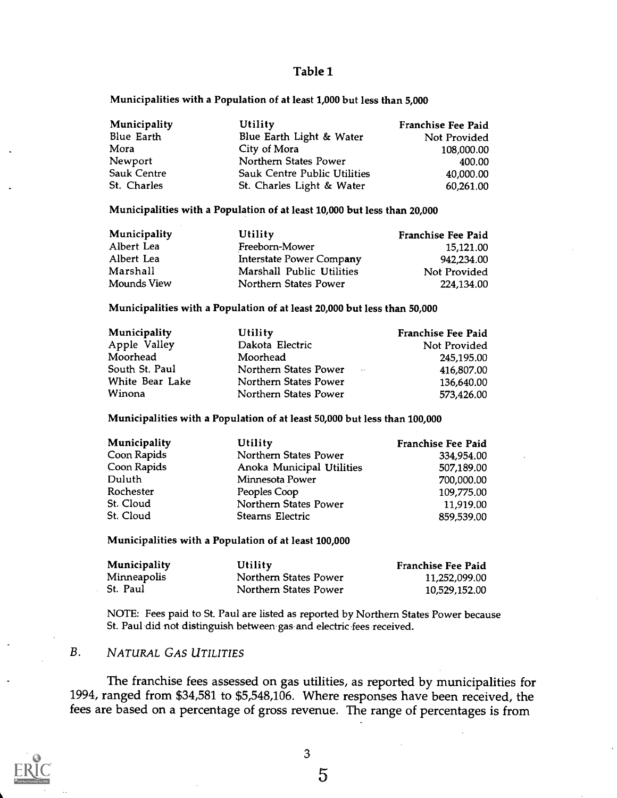#### Table 1

#### Municipalities with a Population of at least 1,000 but less than 5,000

| Municipality | Utility                             | Franchise Fee Paid |  |
|--------------|-------------------------------------|--------------------|--|
| Blue Earth   | Blue Earth Light & Water            | Not Provided       |  |
| Mora         | City of Mora                        | 108,000.00         |  |
| Newport      | Northern States Power               | 400.00             |  |
| Sauk Centre  | <b>Sauk Centre Public Utilities</b> | 40,000.00          |  |
| St. Charles  | St. Charles Light & Water           | 60,261.00          |  |

#### Municipalities with a Population of at least 10,000 but less than 20,000

| Municipality | Utility                         | <b>Franchise Fee Paid</b> |  |
|--------------|---------------------------------|---------------------------|--|
| Albert Lea   | Freeborn-Mower                  | 15,121.00                 |  |
| Albert Lea   | <b>Interstate Power Company</b> | 942,234.00                |  |
| Marshall     | Marshall Public Utilities       | Not Provided              |  |
| Mounds View  | Northern States Power           | 224,134.00                |  |

#### Municipalities with a Population of at least 20,000 but less than 50,000

| Municipality    | Utility                         | Franchise Fee Paid |  |
|-----------------|---------------------------------|--------------------|--|
| Apple Valley    | Dakota Electric                 | Not Provided       |  |
| Moorhead        | Moorhead                        | 245,195.00         |  |
| South St. Paul  | Northern States Power<br>$\sim$ | 416,807.00         |  |
| White Bear Lake | Northern States Power           | 136,640.00         |  |
| Winona          | Northern States Power           | 573,426.00         |  |

#### Municipalities with a Population of at least 50,000 but less than 100,000

| Municipality | Utility                   | <b>Franchise Fee Paid</b> |  |
|--------------|---------------------------|---------------------------|--|
| Coon Rapids  | Northern States Power     | 334,954.00                |  |
| Coon Rapids  | Anoka Municipal Utilities | 507,189.00                |  |
| Duluth       | Minnesota Power           | 700,000.00                |  |
| Rochester    | Peoples Coop              | 109,775.00                |  |
| St. Cloud    | Northern States Power     | 11,919.00                 |  |
| St. Cloud    | Stearns Electric          | 859,539.00                |  |

#### Municipalities with a Population of at least 100,000

| Municipality | Utility               | Franchise Fee Paid |
|--------------|-----------------------|--------------------|
| Minneapolis  | Northern States Power | 11,252,099.00      |
| St. Paul     | Northern States Power | 10,529,152.00      |

NOTE: Fees paid to St. Paul are listed as reported by Northern States Power because St. Paul did not distinguish between gas and electric fees received.

#### B. NATURAL GAS UTILITIES

The franchise fees assessed on gas utilities, as reported by municipalities for 1994, ranged from \$34,581 to \$5,548,106. Where responses have been received, the fees are based on a percentage of gross revenue. The range of percentages is from



3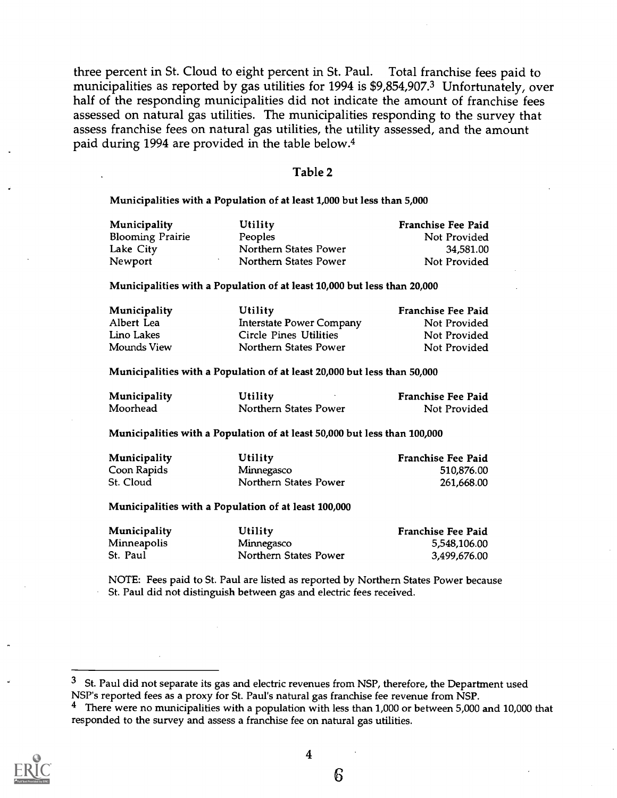three percent in St. Cloud to eight percent in St. Paul. Total franchise fees paid to municipalities as reported by gas utilities for 1994 is \$9,854,907.3 Unfortunately, over half of the responding municipalities did not indicate the amount of franchise fees assessed on natural gas utilities. The municipalities responding to the survey that assess franchise fees on natural gas utilities, the utility assessed, and the amount paid during 1994 are provided in the table below.4

#### Table 2

Municipalities with a Population of at least 1,000 but less than 5,000

| Municipality            | Utility               | Franchise Fee Paid |  |
|-------------------------|-----------------------|--------------------|--|
| <b>Blooming Prairie</b> | Peoples               | Not Provided       |  |
| Lake City               | Northern States Power | 34,581.00          |  |
| Newport                 | Northern States Power | Not Provided       |  |

Municipalities with a Population of at least 10,000 but less than 20,000

| Municipality | Utility                         | <b>Franchise Fee Paid</b> |
|--------------|---------------------------------|---------------------------|
| Albert Lea   | <b>Interstate Power Company</b> | Not Provided              |
| Lino Lakes   | Circle Pines Utilities          | Not Provided              |
| Mounds View  | Northern States Power           | Not Provided              |

Municipalities with a Population of at least 20,000 but less than 50,000

| Municipality | Utility               | <b>Franchise Fee Paid</b> |
|--------------|-----------------------|---------------------------|
| Moorhead     | Northern States Power | Not Provided              |

Municipalities with a Population of at least 50,000 but less than 100,000

| <b>Municipality</b> | Utility               | <b>Franchise Fee Paid</b> |  |
|---------------------|-----------------------|---------------------------|--|
| Coon Rapids         | Minnegasco            | 510,876.00                |  |
| St. Cloud           | Northern States Power | 261,668.00                |  |

Municipalities with a Population of at least 100,000

| <b>Municipality</b> | Utility               | Franchise Fee Paid |
|---------------------|-----------------------|--------------------|
| Minneapolis         | Minnegasco            | 5,548,106.00       |
| St. Paul            | Northern States Power | 3,499,676.00       |

NOTE: Fees paid to St. Paul are listed as reported by Northern States Power because St. Paul did not distinguish between gas and electric fees received.

<sup>4</sup> There were no municipalities with a population with less than 1,000 or between 5,000 and 10,000 that responded to the survey and assess a franchise fee on natural gas utilities.



 $3$  St. Paul did not separate its gas and electric revenues from NSP, therefore, the Department used NSP's reported fees as a proxy for St. Paul's natural gas franchise fee revenue from NSP.<br>4 There were no municipalities with a population with less than 1,000 or between 5,000.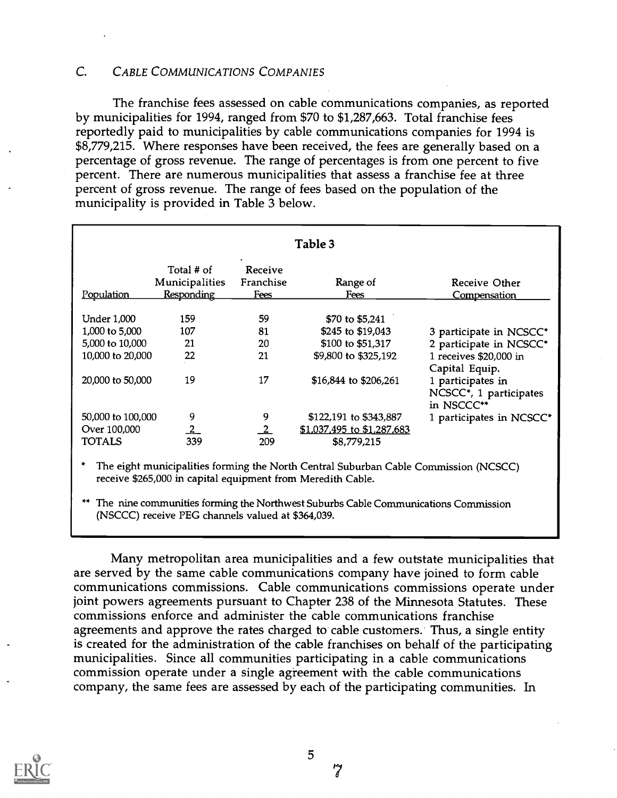#### C. CABLE COMMUNICATIONS COMPANIES

The franchise fees assessed on cable communications companies, as reported by municipalities for 1994, ranged from \$70 to \$1,287,663. Total franchise fees reportedly paid to municipalities by cable communications companies for 1994 is \$8,779,215. Where responses have been received, the fees are generally based on a percentage of gross revenue. The range of percentages is from one percent to five percent. There are numerous municipalities that assess a franchise fee at three percent of gross revenue. The range of fees based on the population of the municipality is provided in Table 3 below.

| Table 3            |                                                   |                              |                            |                                                                        |
|--------------------|---------------------------------------------------|------------------------------|----------------------------|------------------------------------------------------------------------|
| Population         | Total # of<br>Municipalities<br><b>Responding</b> | Receive<br>Franchise<br>Fees | Range of<br>Fees           | Receive Other<br><u>Compensation</u>                                   |
| <b>Under 1,000</b> | 159                                               | 59                           | \$70 to \$5,241            |                                                                        |
| 1,000 to 5,000     | 107                                               | 81                           | \$245 to \$19,043          | 3 participate in NCSCC*                                                |
| 5,000 to 10,000    | 21                                                | 20                           | \$100 to \$51,317          | 2 participate in NCSCC*                                                |
| 10,000 to 20,000   | 22                                                | 21                           | \$9,800 to \$325,192       | 1 receives \$20,000 in<br>Capital Equip.                               |
| 20,000 to 50,000   | 19                                                | 17                           | \$16,844 to \$206,261      | 1 participates in<br>NCSCC <sup>*</sup> , 1 participates<br>in NSCCC** |
| 50,000 to 100,000  | 9                                                 | 9                            | \$122,191 to \$343,887     | 1 participates in NCSCC*                                               |
| Over 100,000       | $\overline{2}$                                    |                              | \$1,037,495 to \$1,287,683 |                                                                        |
| <b>TOTALS</b>      | 339                                               | 209                          | \$8,779,215                |                                                                        |

The eight municipalities forming the North Central Suburban Cable Commission (NCSCC) receive \$265,000 in capital equipment from Meredith Cable.

\*\* The nine communities forming the Northwest Suburbs Cable Communications Commission (NSCCC) receive PEG channels valued at \$364,039.

Many metropolitan area municipalities and a few outstate municipalities that are served by the same cable communications company have joined to form cable communications commissions. Cable communications commissions operate under joint powers agreements pursuant to Chapter 238 of the Minnesota Statutes. These commissions enforce and administer the cable communications franchise agreements and approve the rates charged to cable customers. Thus, a single entity is created for the administration of the cable franchises on behalf of the participating municipalities. Since all communities participating in a cable communications commission operate under a single agreement with the cable communications company, the same fees are assessed by each of the participating communities. In

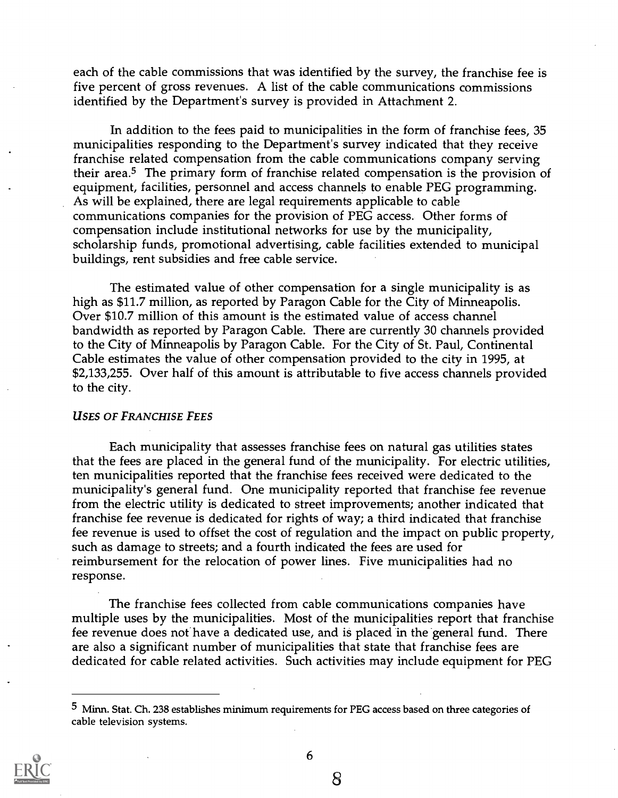each of the cable commissions that was identified by the survey, the franchise fee is five percent of gross revenues. A list of the cable communications commissions identified by the Department's survey is provided in Attachment 2.

In addition to the fees paid to municipalities in the form of franchise fees, 35 municipalities responding to the Department's survey indicated that they receive franchise related compensation from the cable communications company serving their area.5 The primary form of franchise related compensation is the provision of equipment, facilities, personnel and access channels to enable PEG programming. As will be explained, there are legal requirements applicable to cable communications companies for the provision of PEG access. Other forms of compensation include institutional networks for use by the municipality, scholarship funds, promotional advertising, cable facilities extended to municipal buildings, rent subsidies and free cable service.

The estimated value of other compensation for a single municipality is as high as \$11.7 million, as reported by Paragon Cable for the City of Minneapolis. Over \$10.7 million of this amount is the estimated value of access channel bandwidth as reported by Paragon Cable. There are currently 30 channels provided to the City of Minneapolis by Paragon Cable. For the City of St. Paul, Continental Cable estimates the value of other compensation provided to the city in 1995, at \$2,133,255. Over half of this amount is attributable to five access channels provided to the city.

#### USES OF FRANCHISE FEES

Each municipality that assesses franchise fees on natural gas utilities states that the fees are placed in the general fund of the municipality. For electric utilities, ten municipalities reported that the franchise fees received were dedicated to the municipality's general fund. One municipality reported that franchise fee revenue from the electric utility is dedicated to street improvements; another indicated that franchise fee revenue is dedicated for rights of way; a third indicated that franchise fee revenue is used to offset the cost of regulation and the impact on public property, such as damage to streets; and a fourth indicated the fees are used for reimbursement for the relocation of power lines. Five municipalities had no response.

The franchise fees collected from cable communications companies have multiple uses by the municipalities. Most of the municipalities report that franchise fee revenue does not have a dedicated use, and is placed in the general fund. There are also a significant number of municipalities that state that franchise fees are dedicated for cable related activities. Such activities may include equipment for PEG

<sup>5</sup> Minn. Stat. Ch. 238 establishes minimum requirements for PEG access based on three categories of cable television systems.



6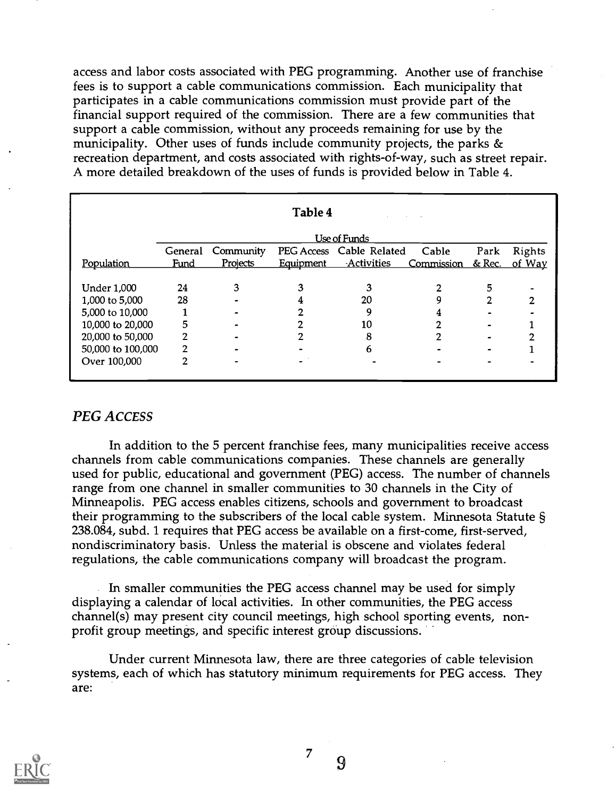access and labor costs associated with PEG programming. Another use of franchise fees is to support a cable communications commission. Each municipality that participates in a cable communications commission must provide part of the financial support required of the commission. There are a few communities that support a cable commission, without any proceeds remaining for use by the municipality. Other uses of funds include community projects, the parks & recreation department, and costs associated with rights-of-way, such as street repair. A more detailed breakdown of the uses of funds is provided below in Table 4.

| Table 4            |             |                 |                  |                          |            |        |        |
|--------------------|-------------|-----------------|------------------|--------------------------|------------|--------|--------|
| Use of Funds       |             |                 |                  |                          |            |        |        |
|                    | General     | Community       |                  | PEG Access Cable Related | Cable      | Park   | Rights |
| Population         | <u>Fund</u> | <b>Projects</b> | <b>Equipment</b> | <b>Activities</b>        | Commission | & Rec. | of Way |
|                    |             |                 |                  |                          |            |        |        |
| <b>Under 1,000</b> | 24          | 3               |                  |                          |            | 5      |        |
| 1,000 to 5,000     | 28          |                 |                  | 20                       | 9          |        | າ      |
| 5,000 to 10,000    |             |                 |                  | 9                        |            |        |        |
| 10,000 to 20,000   | 5           |                 |                  | 10                       |            |        |        |
| 20,000 to 50,000   | 2           |                 |                  | 8                        |            |        |        |
| 50,000 to 100,000  | 2           |                 |                  | 6                        |            |        |        |
| Over 100,000       | 2           |                 |                  |                          |            |        |        |
|                    |             |                 |                  |                          |            |        |        |

#### PEG ACCESS

In addition to the 5 percent franchise fees, many municipalities receive access channels from cable communications companies. These channels are generally used for public, educational and government (PEG) access. The number of channels range from one channel in smaller communities to 30 channels in the City of Minneapolis. PEG access enables citizens, schools and government to broadcast their programming to the subscribers of the local cable system. Minnesota Statute § 238.084, subd. 1 requires that PEG access be available on a first-come, first-served, nondiscriminatory basis. Unless the material is obscene and violates federal regulations, the cable communications company will broadcast the program.

In smaller communities the PEG access channel may be used for simply displaying a calendar of local activities. In other communities, the PEG access channel(s) may present city council meetings, high school sporting events, nonprofit group meetings, and specific interest group discussions.

Under current Minnesota law, there are three categories of cable television systems, each of which has statutory minimum requirements for PEG access. They are:



7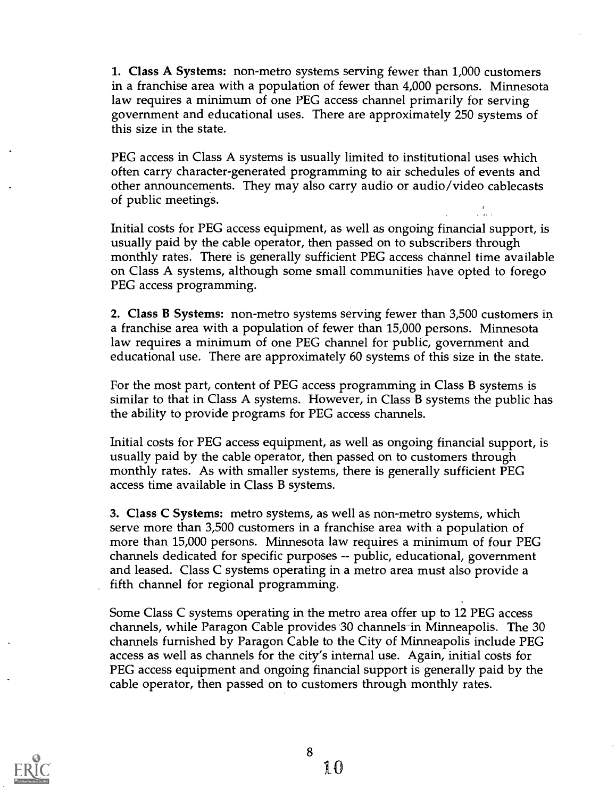1. Class A Systems: non-metro systems serving fewer than 1,000 customers in a franchise area with a population of fewer than 4,000 persons. Minnesota law requires a minimum of one PEG access channel primarily for serving government and educational uses. There are approximately 250 systems of this size in the state.

PEG access in Class A systems is usually limited to institutional uses which often carry character-generated programming to air schedules of events and other announcements. They may also carry audio or audio/video cablecasts of public meetings.

Initial costs for PEG access equipment, as well as ongoing financial support, is usually paid by the cable operator, then passed on to subscribers through monthly rates. There is generally sufficient PEG access channel time available on Class A systems, although some small communities have opted to forego PEG access programming.

2. Class B Systems: non-metro systems serving fewer than 3,500 customers in a franchise area with a population of fewer than 15,000 persons. Minnesota law requires a minimum of one PEG channel for public, government and educational use. There are approximately 60 systems of this size in the state.

For the most part, content of PEG access programming in Class B systems is similar to that in Class A systems. However, in Class B systems the public has the ability to provide programs for PEG access channels.

Initial costs for PEG access equipment, as well as ongoing financial support, is usually paid by the cable operator, then passed on to customers through monthly rates. As with smaller systems, there is generally sufficient PEG access time available in Class B systems.

3. Class C Systems: metro systems, as well as non-metro systems, which serve more than 3,500 customers in a franchise area with a population of more than 15,000 persons. Minnesota law requires a minimum of four PEG channels dedicated for specific purposes -- public, educational, government and leased. Class C systems operating in a metro area must also provide a fifth channel for regional programming.

Some Class C systems operating in the metro area offer up to 12 PEG access channels, while Paragon Cable provides 30 channels in Minneapolis. The 30 channels furnished by Paragon Cable to the City of Minneapolis include PEG access as well as channels for the city's internal use. Again, initial costs for PEG access equipment and ongoing financial support is generally paid by the cable operator, then passed on to customers through monthly rates.

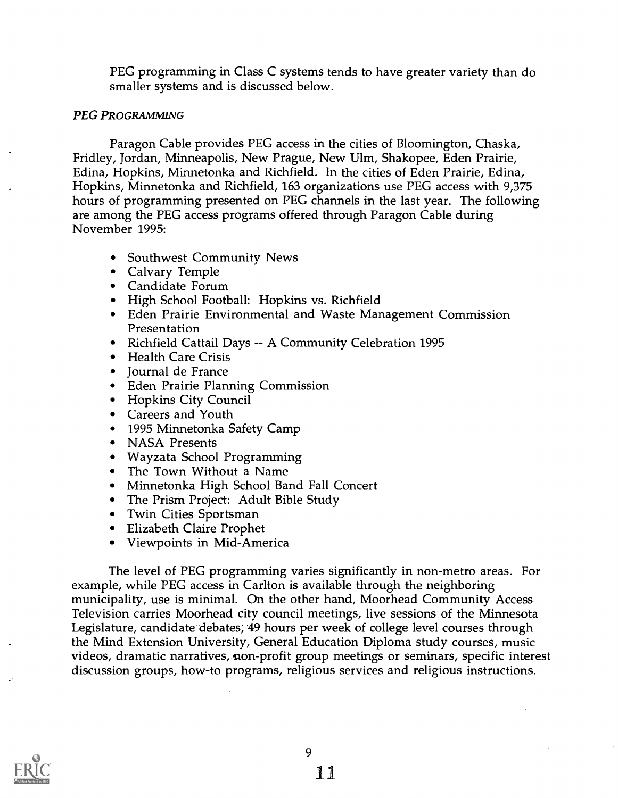PEG programming in Class C systems tends to have greater variety than do smaller systems and is discussed below.

#### PEG PROGRAMMING

Paragon Cable provides PEG access in the cities of Bloomington, Chaska, Fridley, Jordan, Minneapolis, New Prague, New Ulm, Shakopee, Eden Prairie, Edina, Hopkins, Minnetonka and Richfield. In the cities of Eden Prairie, Edina, Hopkins, Minnetonka and Richfield, 163 organizations use PEG access with 9,375 hours of programming presented on PEG channels in the last year. The following are among the PEG access programs offered through Paragon Cable during November 1995:

- Southwest Community News
- Calvary Temple
- Candidate Forum
- High School Football: Hopkins vs. Richfield
- Eden Prairie Environmental and Waste Management Commission Presentation
- Richfield Cattail Days -- A Community Celebration 1995
- Health Care Crisis
- Iournal de France
- Eden Prairie Planning Commission
- Hopkins City Council
- Careers and Youth
- 1995 Minnetonka Safety Camp
- NASA Presents
- Wayzata School Programming
- The Town Without a Name
- Minnetonka High School Band Fall Concert
- The Prism Project: Adult Bible Study
- Twin Cities Sportsman
- Elizabeth Claire Prophet
- Viewpoints in Mid-America

The level of PEG programming varies significantly in non-metro areas. For example, while PEG access in Carlton is available through the neighboring municipality, use is minimal. On the other hand, Moorhead Community Access Television carries Moorhead city council meetings, live sessions of the Minnesota Legislature, candidate debates; 49 hours per week of college level courses through the Mind Extension University, General Education Diploma study courses, music videos, dramatic narratives, non-profit group meetings or seminars, specific interest discussion groups, how-to programs, religious services and religious instructions.

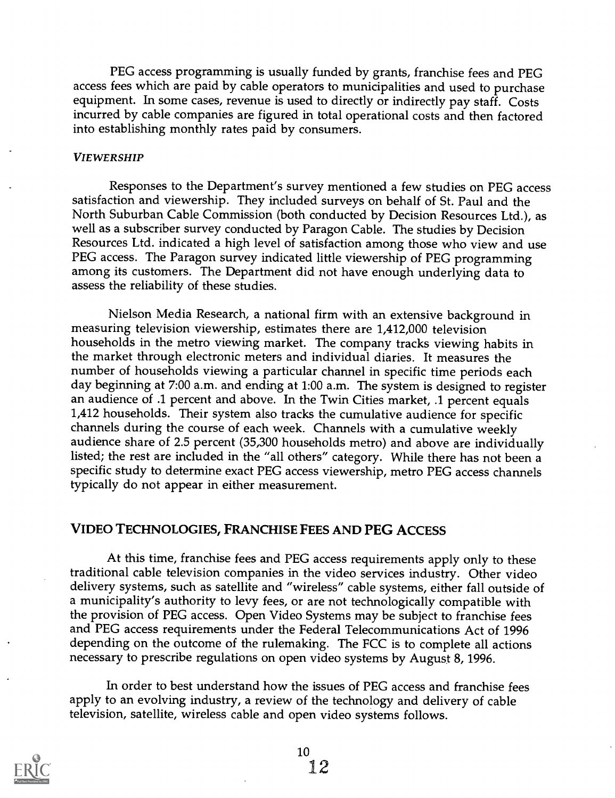PEG access programming is usually funded by grants, franchise fees and PEG access fees which are paid by cable operators to municipalities and used to purchase equipment. In some cases, revenue is used to directly or indirectly pay staff. Costs incurred by cable companies are figured in total operational costs and then factored into establishing monthly rates paid by consumers.

#### VIEWERSHIP

Responses to the Department's survey mentioned a few studies on PEG access satisfaction and viewership. They included surveys on behalf of St. Paul and the North Suburban Cable Commission (both conducted by Decision Resources Ltd.), as well as a subscriber survey conducted by Paragon Cable. The studies by Decision Resources Ltd. indicated a high level of satisfaction among those who view and use PEG access. The Paragon survey indicated little viewership of PEG programming among its customers. The Department did not have enough underlying data to assess the reliability of these studies.

Nielson Media Research, a national firm with an extensive background in measuring television viewership, estimates there are 1,412,000 television households in the metro viewing market. The company tracks viewing habits in the market through electronic meters and individual diaries. It measures the number of households viewing a particular channel in specific time periods each day beginning at 7:00 a.m. and ending at 1:00 a.m. The system is designed to register an audience of .1 percent and above. In the Twin Cities market, .1 percent equals 1,412 households. Their system also tracks the cumulative audience for specific channels during the course of each week. Channels with a cumulative weekly audience share of 2.5 percent (35,300 households metro) and above are individually listed; the rest are included in the "all others" category. While there has not been a specific study to determine exact PEG access viewership, metro PEG access channels typically do not appear in either measurement.

#### VIDEO TECHNOLOGIES, FRANCHISE FEES AND PEG ACCESS

At this time, franchise fees and PEG access requirements apply only to these traditional cable television companies in the video services industry. Other video delivery systems, such as satellite and "wireless" cable systems, either fall outside of a municipality's authority to levy fees, or are not technologically compatible with the provision of PEG access. Open Video Systems may be subject to franchise fees and PEG access requirements under the Federal Telecommunications Act of 1996 depending on the outcome of the rulemaking. The FCC is to complete all actions necessary to prescribe regulations on open video systems by August 8, 1996.

In order to best understand how the issues of PEG access and franchise fees apply to an evolving industry, a review of the technology and delivery of cable television, satellite, wireless cable and open video systems follows.

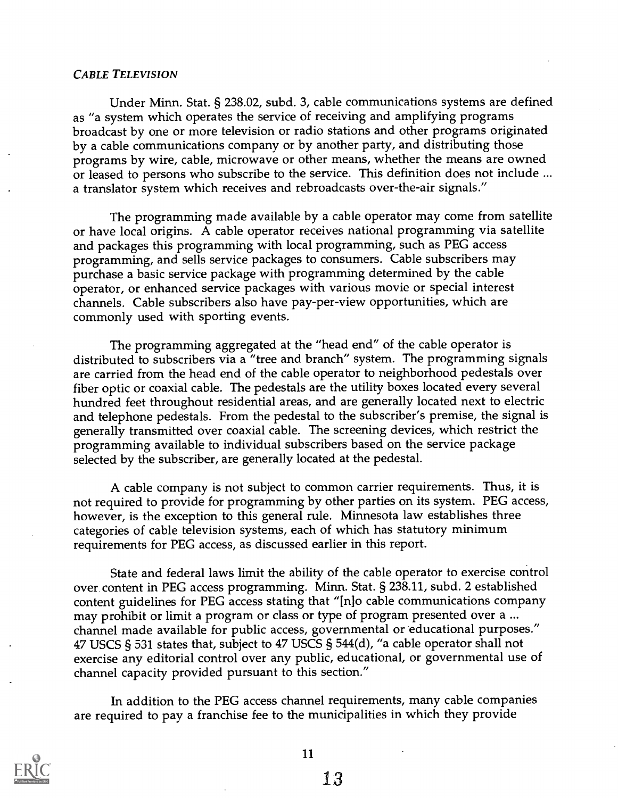#### CABLE TELEVISION

Under Minn. Stat. § 238.02, subd. 3, cable communications systems are defined as "a system which operates the service of receiving and amplifying programs broadcast by one or more television or radio stations and other programs originated by a cable communications company or by another party, and distributing those programs by wire, cable, microwave or other means, whether the means are owned or leased to persons who subscribe to the service. This definition does not include ... a translator system which receives and rebroadcasts over-the-air signals."

The programming made available by a cable operator may come from satellite or have local origins. A cable operator receives national programming via satellite and packages this programming with local programming, such as PEG access programming, and sells service packages to consumers. Cable subscribers may purchase a basic service package with programming determined by the cable operator, or enhanced service packages with various movie or special interest channels. Cable subscribers also have pay-per-view opportunities, which are commonly used with sporting events.

The programming aggregated at the "head end" of the cable operator is distributed to subscribers via a "tree and branch" system. The programming signals are carried from the head end of the cable operator to neighborhood pedestals over fiber optic or coaxial cable. The pedestals are the utility boxes located every several hundred feet throughout residential areas, and are generally located next to electric and telephone pedestals. From the pedestal to the subscriber's premise, the signal is generally transmitted over coaxial cable. The screening devices, which restrict the programming available to individual subscribers based on the service package selected by the subscriber, are generally located at the pedestal.

A cable company is not subject to common carrier requirements. Thus, it is not required to provide for programming by other parties on its system. PEG access, however, is the exception to this general rule. Minnesota law establishes three categories of cable television systems, each of which has statutory minimum requirements for PEG access, as discussed earlier in this report.

State and federal laws limit the ability of the cable operator to exercise control over content in PEG access programming. Minn. Stat. § 238.11, subd. 2 established content guidelines for PEG access stating that "[n]o cable communications company may prohibit or limit a program or class or type of program presented over a ... channel made available for public access, governmental or 'educational purposes." 47 USCS § 531 states that, subject to 47 USCS § 544(d), "a cable operator shall not exercise any editorial control over any public, educational, or governmental use of channel capacity provided pursuant to this section."

In addition to the PEG access channel requirements, many cable companies are required to pay a franchise fee to the municipalities in which they provide

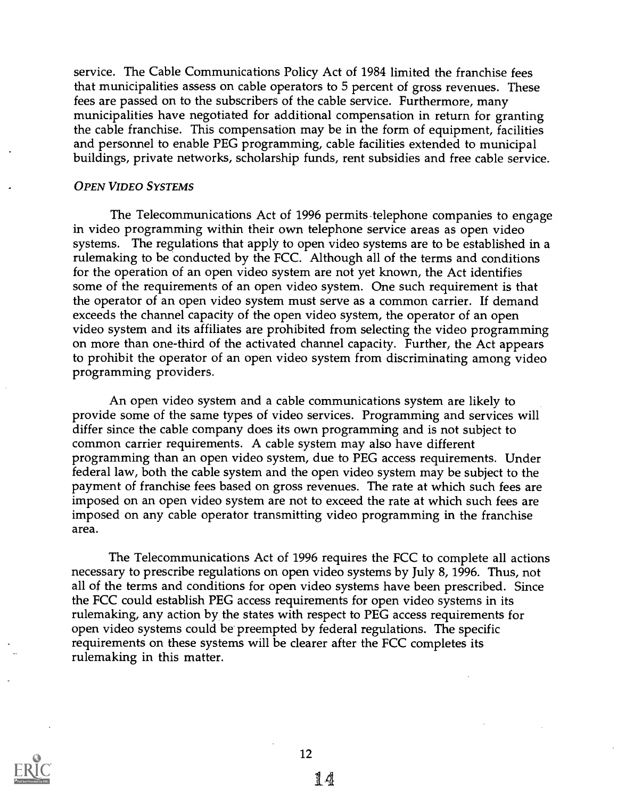service. The Cable Communications Policy Act of 1984 limited the franchise fees that municipalities assess on cable operators to 5 percent of gross revenues. These fees are passed on to the subscribers of the cable service. Furthermore, many municipalities have negotiated for additional compensation in return for granting the cable franchise. This compensation may be in the form of equipment, facilities and personnel to enable PEG programming, cable facilities extended to municipal buildings, private networks, scholarship funds, rent subsidies and free cable service.

#### OPEN VIDEO SYSTEMS

The Telecommunications Act of 1996 permits-telephone companies to engage in video programming within their own telephone service areas as open video systems. The regulations that apply to open video systems are to be established in a rulemaking to be conducted by the FCC. Although all of the terms and conditions for the operation of an open video system are not yet known, the Act identifies some of the requirements of an open video system. One such requirement is that the operator of an open video system must serve as a common carrier. If demand exceeds the channel capacity of the open video system, the operator of an open video system and its affiliates are prohibited from selecting the video programming on more than one-third of the activated channel capacity. Further, the Act appears to prohibit the operator of an open video system from discriminating among video programming providers.

An open video system and a cable communications system are likely to provide some of the same types of video services. Programming and services will differ since the cable company does its own programming and is not subject to common carrier requirements. A cable system may also have different programming than an open video system, due to PEG access requirements. Under federal law, both the cable system and the open video system may be subject to the payment of franchise fees based on gross revenues. The rate at which such fees are imposed on an open video system are not to exceed the rate at which such fees are imposed on any cable operator transmitting video programming in the franchise area.

The Telecommunications Act of 1996 requires the FCC to complete all actions necessary to prescribe regulations on open video systems by July 8, 1996. Thus, not all of the terms and conditions for open video systems have been prescribed. Since the FCC could establish PEG access requirements for open video systems in its rulemaking, any action by the states with respect to PEG access requirements for open video systems could be preempted by federal regulations. The specific requirements on these systems will be clearer after the FCC completes its rulemaking in this matter.

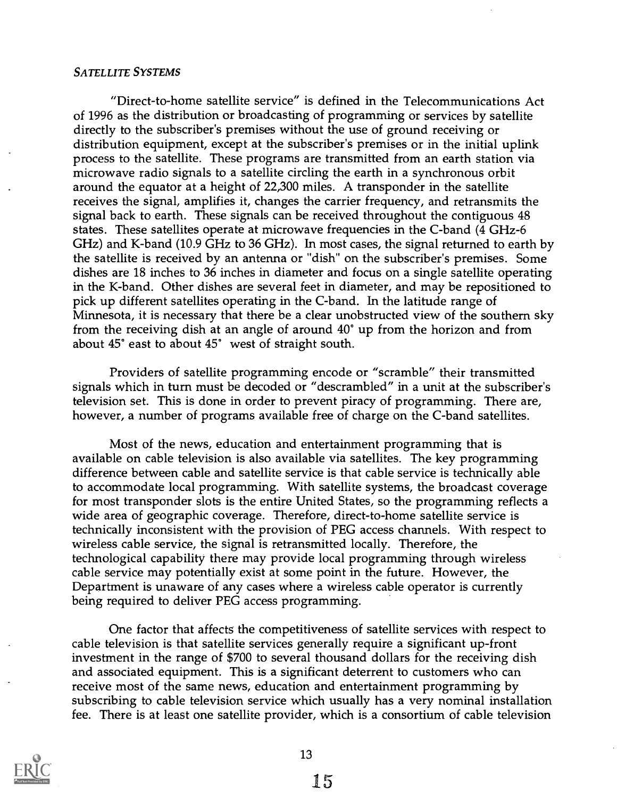#### SATELLITE SYSTEMS

"Direct-to-home satellite service" is defined in the Telecommunications Act of 1996 as the distribution or broadcasting of programming or services by satellite directly to the subscriber's premises without the use of ground receiving or distribution equipment, except at the subscriber's premises or in the initial uplink process to the satellite. These programs are transmitted from an earth station via microwave radio signals to a satellite circling the earth in a synchronous orbit around the equator at a height of 22,300 miles. A transponder in the satellite receives the signal, amplifies it, changes the carrier frequency, and retransmits the signal back to earth. These signals can be received throughout the contiguous 48 states. These satellites operate at microwave frequencies in the C-band (4 GHz-6 GHz) and K-band (10.9 GHz to 36 GHz). In most cases, the signal returned to earth by the satellite is received by an antenna or "dish" on the subscriber's premises. Some dishes are 18 inches to 36 inches in diameter and focus on a single satellite operating in the K-band. Other dishes are several feet in diameter, and may be repositioned to pick up different satellites operating in the C-band. In the latitude range of Minnesota, it is necessary that there be a clear unobstructed view of the southern sky from the receiving dish at an angle of around 40° up from the horizon and from about 45° east to about 45° west of straight south.

Providers of satellite programming encode or "scramble" their transmitted signals which in turn must be decoded or "descrambled" in a unit at the subscriber's television set. This is done in order to prevent piracy of programming. There are, however, a number of programs available free of charge on the C-band satellites.

Most of the news, education and entertainment programming that is available on cable television is also available via satellites. The key programming difference between cable and satellite service is that cable service is technically able to accommodate local programming. With satellite systems, the broadcast coverage for most transponder slots is the entire United States, so the programming reflects a wide area of geographic coverage. Therefore, direct-to-home satellite service is technically inconsistent with the provision of PEG access channels. With respect to wireless cable service, the signal is retransmitted locally. Therefore, the technological capability there may provide local programming through wireless cable service may potentially exist at some point in the future. However, the Department is unaware of any cases where a wireless cable operator is currently being required to deliver PEG access programming.

One factor that affects the competitiveness of satellite services with respect to cable television is that satellite services generally require a significant up-front investment in the range of \$700 to several thousand dollars for the receiving dish and associated equipment. This is a significant deterrent to customers who can receive most of the same news, education and entertainment programming by subscribing to cable television service which usually has a very nominal installation fee. There is at least one satellite provider, which is a consortium of cable television

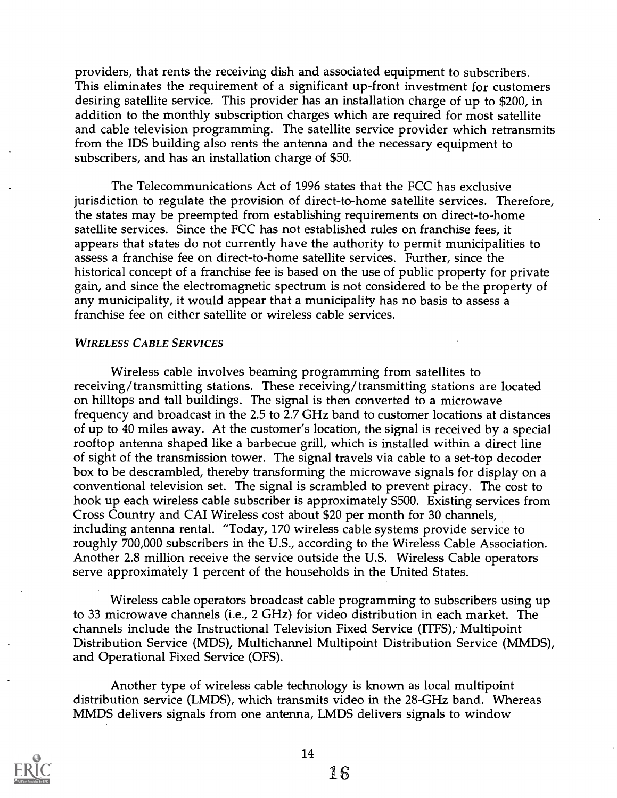providers, that rents the receiving dish and associated equipment to subscribers. This eliminates the requirement of a significant up-front investment for customers desiring satellite service. This provider has an installation charge of up to \$200, in addition to the monthly subscription charges which are required for most satellite and cable television programming. The satellite service provider which retransmits from the IDS building also rents the antenna and the necessary equipment to subscribers, and has an installation charge of \$50.

The Telecommunications Act of 1996 states that the FCC has exclusive jurisdiction to regulate the provision of direct-to-home satellite services. Therefore, the states may be preempted from establishing requirements on direct-to-home satellite services. Since the FCC has not established rules on franchise fees, it appears that states do not currently have the authority to permit municipalities to assess a franchise fee on direct-to-home satellite services. Further, since the historical concept of a franchise fee is based on the use of public property for private gain, and since the electromagnetic spectrum is not considered to be the property of any municipality, it would appear that a municipality has no basis to assess a franchise fee on either satellite or wireless cable services.

#### WIRELESS CABLE SERVICES

Wireless cable involves beaming programming from satellites to receiving/transmitting stations. These receiving/transmitting stations are located on hilltops and tall buildings. The signal is then converted to a microwave frequency and broadcast in the 2.5 to 2.7 GHz band to customer locations at distances of up to 40 miles away. At the customer's location, the signal is received by a special rooftop antenna shaped like a barbecue grill, which is installed within a direct line of sight of the transmission tower. The signal travels via cable to a set-top decoder box to be descrambled, thereby transforming the microwave signals for display on a conventional television set. The signal is scrambled to prevent piracy. The cost to hook up each wireless cable subscriber is approximately \$500. Existing services from Cross Country and CAI Wireless cost about \$20 per month for 30 channels, including antenna rental. "Today, 170 wireless cable systems provide service to roughly 700,000 subscribers in the U.S., according to the Wireless Cable Association. Another 2.8 million receive the service outside the U.S. Wireless Cable operators serve approximately 1 percent of the households in the United States.

Wireless cable operators broadcast cable programming to subscribers using up to 33 microwave channels (i.e., 2 GHz) for video distribution in each market. The channels include the Instructional Television Fixed Service (ITFS), Multipoint Distribution Service (MDS), Multichannel Multipoint Distribution Service (MMDS), and Operational Fixed Service (OFS).

Another type of wireless cable technology is known as local multipoint distribution service (LMDS), which transmits video in the 28-GHz band. Whereas MMDS delivers signals from one antenna, LMDS delivers signals to window

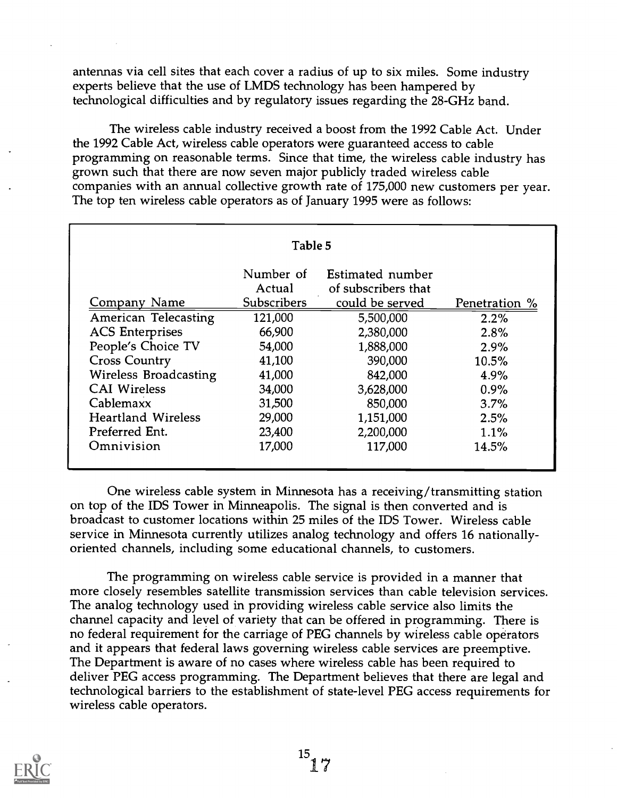antennas via cell sites that each cover a radius of up to six miles. Some industry experts believe that the use of LMDS technology has been hampered by technological difficulties and by regulatory issues regarding the 28-GHz band.

The wireless cable industry received a boost from the 1992 Cable Act. Under the 1992 Cable Act, wireless cable operators were guaranteed access to cable programming on reasonable terms. Since that time, the wireless cable industry has grown such that there are now seven major publicly traded wireless cable companies with an annual collective growth rate of 175,000 new customers per year. The top ten wireless cable operators as of January 1995 were as follows:

|                             | Table 5             |                                         |               |
|-----------------------------|---------------------|-----------------------------------------|---------------|
|                             | Number of<br>Actual | Estimated number<br>of subscribers that |               |
| Company Name                | Subscribers         | could be served                         | Penetration % |
| <b>American Telecasting</b> | 121,000             | 5,500,000                               | 2.2%          |
| <b>ACS</b> Enterprises      | 66,900              | 2,380,000                               | 2.8%          |
| People's Choice TV          | 54,000              | 1,888,000                               | 2.9%          |
| <b>Cross Country</b>        | 41,100              | 390,000                                 | 10.5%         |
| Wireless Broadcasting       | 41,000              | 842,000                                 | 4.9%          |
| <b>CAI Wireless</b>         | 34,000              | 3,628,000                               | 0.9%          |
| Cablemaxx                   | 31,500              | 850,000                                 | 3.7%          |
| <b>Heartland Wireless</b>   | 29,000              | 1,151,000                               | 2.5%          |
| Preferred Ent.              | 23,400              | 2,200,000                               | 1.1%          |
| Omnivision                  | 17,000              | 117,000                                 | 14.5%         |

One wireless cable system in Minnesota has a receiving/transmitting station on top of the IDS Tower in Minneapolis. The signal is then converted and is broadcast to customer locations within 25 miles of the IDS Tower. Wireless cable service in Minnesota currently utilizes analog technology and offers 16 nationallyoriented channels, including some educational channels, to customers.

The programming on wireless cable service is provided in a manner that more closely resembles satellite transmission services than cable television services. The analog technology used in providing wireless cable service also limits the channel capacity and level of variety that can be offered in programming. There is no federal requirement for the carriage of PEG channels by wireless cable operators and it appears that federal laws governing wireless cable services are preemptive. The Department is aware of no cases where wireless cable has been required to deliver PEG access programming. The Department believes that there are legal and technological barriers to the establishment of state-level PEG access requirements for wireless cable operators.

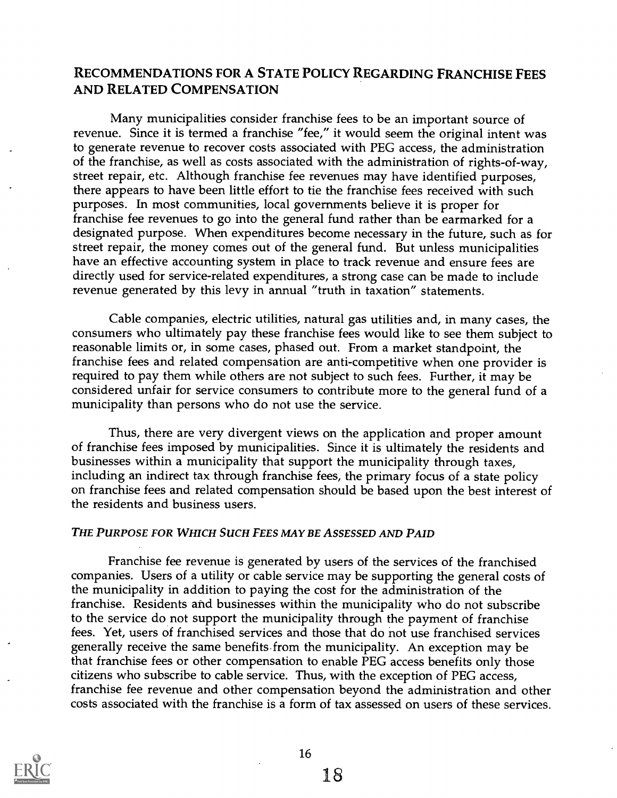## RECOMMENDATIONS FOR A STATE POLICY REGARDING FRANCHISE FEES AND RELATED COMPENSATION

Many municipalities consider franchise fees to be an important source of revenue. Since it is termed a franchise "fee," it would seem the original intent was to generate revenue to recover costs associated with PEG access, the administration of the franchise, as well as costs associated with the administration of rights-of-way, street repair, etc. Although franchise fee revenues may have identified purposes, there appears to have been little effort to tie the franchise fees received with such purposes. In most communities, local governments believe it is proper for franchise fee revenues to go into the general fund rather than be earmarked for a designated purpose. When expenditures become necessary in the future, such as for street repair, the money comes out of the general fund. But unless municipalities have an effective accounting system in place to track revenue and ensure fees are directly used for service-related expenditures, a strong case can be made to include revenue generated by this levy in annual "truth in taxation" statements.

Cable companies, electric utilities, natural gas utilities and, in many cases, the consumers who ultimately pay these franchise fees would like to see them subject to reasonable limits or, in some cases, phased out. From a market standpoint, the franchise fees and related compensation are anti-competitive when one provider is required to pay them while others are not subject to such fees. Further, it may be considered unfair for service consumers to contribute more to the general fund of a municipality than persons who do not use the service.

Thus, there are very divergent views on the application and proper amount of franchise fees imposed by municipalities. Since it is ultimately the residents and businesses within a municipality that support the municipality through taxes, including an indirect tax through franchise fees, the primary focus of a state policy on franchise fees and related compensation should be based upon the best interest of the residents and business users.

#### THE PURPOSE FOR WHICH SUCH FEES MAY BE ASSESSED AND PAID

Franchise fee revenue is generated by users of the services of the franchised companies. Users of a utility or cable service may be supporting the general costs of the municipality in addition to paying the cost for the administration of the franchise. Residents and businesses within the municipality who do not subscribe to the service do not support the municipality through the payment of franchise fees. Yet, users of franchised services and those that do not use franchised services generally receive the same benefits from the municipality. An exception may be that franchise fees or other compensation to enable PEG access benefits only those citizens who subscribe to cable service. Thus, with the exception of PEG access, franchise fee revenue and other compensation beyond the administration and other costs associated with the franchise is a form of tax assessed on users of these services.

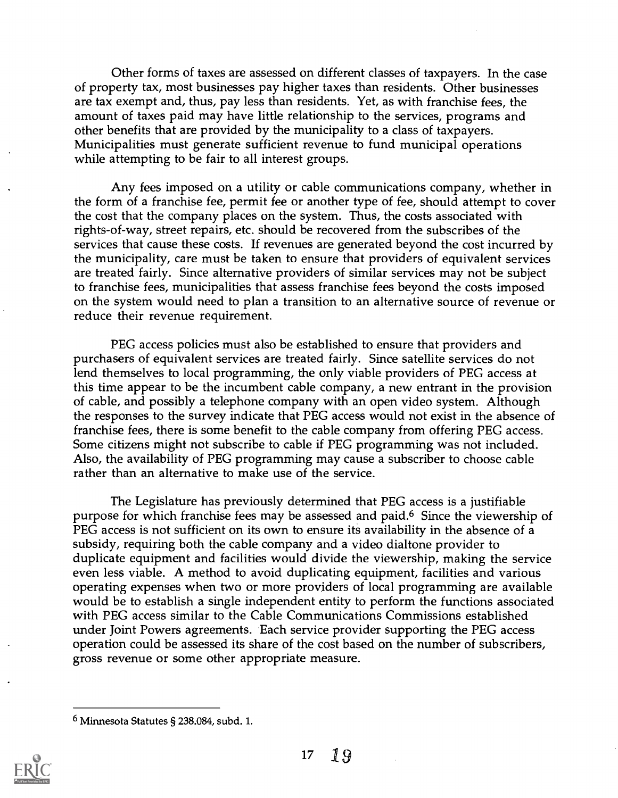Other forms of taxes are assessed on different classes of taxpayers. In the case of property tax, most businesses pay higher taxes than residents. Other businesses are tax exempt and, thus, pay less than residents. Yet, as with franchise fees, the amount of taxes paid may have little relationship to the services, programs and other benefits that are provided by the municipality to a class of taxpayers. Municipalities must generate sufficient revenue to fund municipal operations while attempting to be fair to all interest groups.

Any fees imposed on a utility or cable communications company, whether in the form of a franchise fee, permit fee or another type of fee, should attempt to cover the cost that the company places on the system. Thus, the costs associated with rights-of-way, street repairs, etc. should be recovered from the subscribes of the services that cause these costs. If revenues are generated beyond the cost incurred by the municipality, care must be taken to ensure that providers of equivalent services are treated fairly. Since alternative providers of similar services may not be subject to franchise fees, municipalities that assess franchise fees beyond the costs imposed on the system would need to plan a transition to an alternative source of revenue or reduce their revenue requirement.

PEG access policies must also be established to ensure that providers and purchasers of equivalent services are treated fairly. Since satellite services do not lend themselves to local programming, the only viable providers of PEG access at this time appear to be the incumbent cable company, a new entrant in the provision of cable, and possibly a telephone company with an open video system. Although the responses to the survey indicate that PEG access would not exist in the absence of franchise fees, there is some benefit to the cable company from offering PEG access. Some citizens might not subscribe to cable if PEG programming was not included. Also, the availability of PEG programming may cause a subscriber to choose cable rather than an alternative to make use of the service.

The Legislature has previously determined that PEG access is a justifiable purpose for which franchise fees may be assessed and paid.6 Since the viewership of PEG access is not sufficient on its own to ensure its availability in the absence of a subsidy, requiring both the cable company and a video dialtone provider to duplicate equipment and facilities would divide the viewership, making the service even less viable. A method to avoid duplicating equipment, facilities and various operating expenses when two or more providers of local programming are available would be to establish a single independent entity to perform the functions associated with PEG access similar to the Cable Communications Commissions established under Joint Powers agreements. Each service provider supporting the PEG access operation could be assessed its share of the cost based on the number of subscribers, gross revenue or some other appropriate measure.

 $^6$  Minnesota Statutes § 238.084, subd. 1.

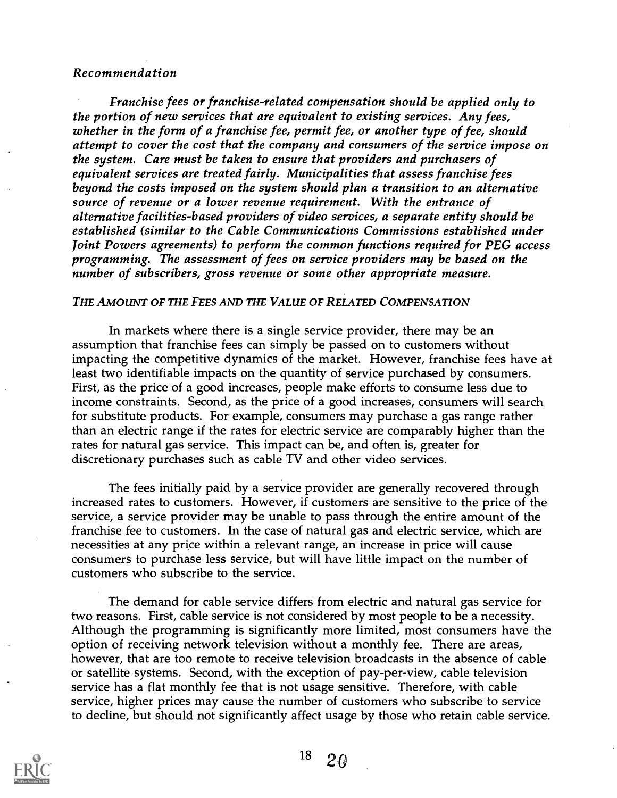#### Recommendation

Franchise fees or franchise-related compensation should be applied only to the portion of new services that are equivalent to existing services. Any fees, whether in the form of a franchise fee, permit fee, or another type of fee, should attempt to cover the cost that the company and consumers of the service impose on the system. Care must be taken to ensure that providers and purchasers of equivalent services are treated fairly. Municipalities that assess franchise fees beyond the costs imposed on the system should plan a transition to an alternative source of revenue or a lower revenue requirement. With the entrance of alternative facilities-based providers of video services, a separate entity should be established (similar to the Cable Communications Commissions established under Joint Powers agreements) to perform the common functions required for PEG access programming. The assessment of fees on service providers may be based on the number of subscribers, gross revenue or some other appropriate measure.

#### THE AMOUNT OF THE FEES AND THE VALUE OF RELATED COMPENSATION

In markets where there is a single service provider, there may be an assumption that franchise fees can simply be passed on to customers without impacting the competitive dynamics of the market. However, franchise fees have at least two identifiable impacts on the quantity of service purchased by consumers. First, as the price of a good increases, people make efforts to consume less due to income constraints. Second, as the price of a good increases, consumers will search for substitute products. For example, consumers may purchase a gas range rather than an electric range if the rates for electric service are comparably higher than the rates for natural gas service. This impact can be, and often is, greater for discretionary purchases such as cable TV and other video services.

The fees initially paid by a service provider are generally recovered through increased rates to customers. However, if customers are sensitive to the price of the service, a service provider may be unable to pass through the entire amount of the franchise fee to customers. In the case of natural gas and electric service, which are necessities at any price within a relevant range, an increase in price will cause consumers to purchase less service, but will have little impact on the number of customers who subscribe to the service.

The demand for cable service differs from electric and natural gas service for two reasons. First, cable service is not considered by most people to be a necessity. Although the programming is significantly more limited, most consumers have the option of receiving network television without a monthly fee. There are areas, however, that are too remote to receive television broadcasts in the absence of cable or satellite systems. Second, with the exception of pay-per-view, cable television service has a flat monthly fee that is not usage sensitive. Therefore, with cable service, higher prices may cause the number of customers who subscribe to service to decline, but should not significantly affect usage by those who retain cable service.

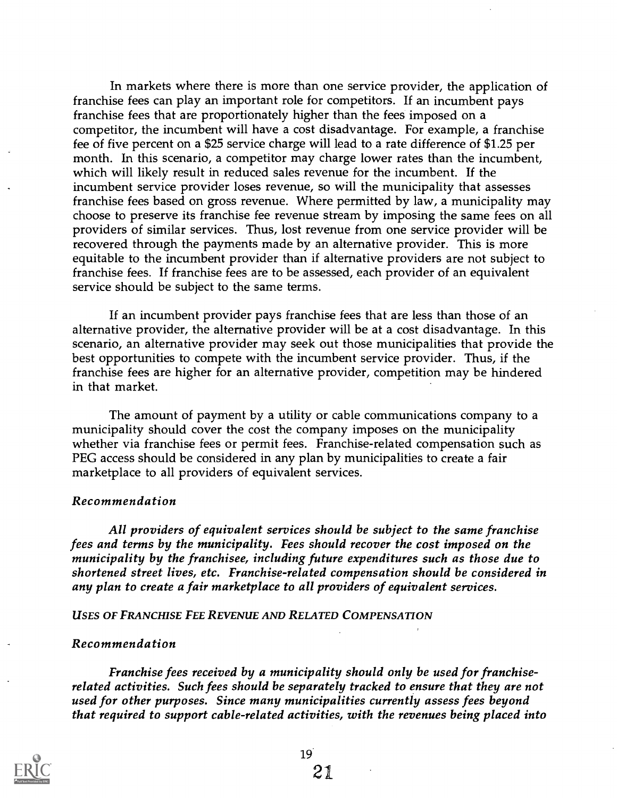In markets where there is more than one service provider, the application of franchise fees can play an important role for competitors. If an incumbent pays franchise fees that are proportionately higher than the fees imposed on a competitor, the incumbent will have a cost disadvantage. For example, a franchise fee of five percent on a \$25 service charge will lead to a rate difference of \$1.25 per month. In this scenario, a competitor may charge lower rates than the incumbent, which will likely result in reduced sales revenue for the incumbent. If the incumbent service provider loses revenue, so will the municipality that assesses franchise fees based on gross revenue. Where permitted by law, a municipality may choose to preserve its franchise fee revenue stream by imposing the same fees on all providers of similar services. Thus, lost revenue from one service provider will be recovered through the payments made by an alternative provider. This is more equitable to the incumbent provider than if alternative providers are not subject to franchise fees. If franchise fees are to be assessed, each provider of an equivalent service should be subject to the same terms.

If an incumbent provider pays franchise fees that are less than those of an alternative provider, the alternative provider will be at a cost disadvantage. In this scenario, an alternative provider may seek out those municipalities that provide the best opportunities to compete with the incumbent service provider. Thus, if the franchise fees are higher for an alternative provider, competition may be hindered in that market.

The amount of payment by a utility or cable communications company to a municipality should cover the cost the company imposes on the municipality whether via franchise fees or permit fees. Franchise-related compensation such as PEG access should be considered in any plan by municipalities to create a fair marketplace to all providers of equivalent services.

#### Recommendation

All providers of equivalent services should be subject to the same franchise fees and terms by the municipality. Fees should recover the cost imposed on the municipality by the franchisee, including future expenditures such as those due to shortened street lives, etc. Franchise-related compensation should be considered in any plan to create a fair marketplace to all providers of equivalent services.

#### USES OF FRANCHISE FEE REVENUE AND RELATED COMPENSATION

#### Recommendation

Franchise fees received by a municipality should only be used for franchiserelated activities. Such fees should be separately tracked to ensure that they are not used for other purposes. Since many municipalities currently assess fees beyond that required to support cable-related activities, with the revenues being placed into



21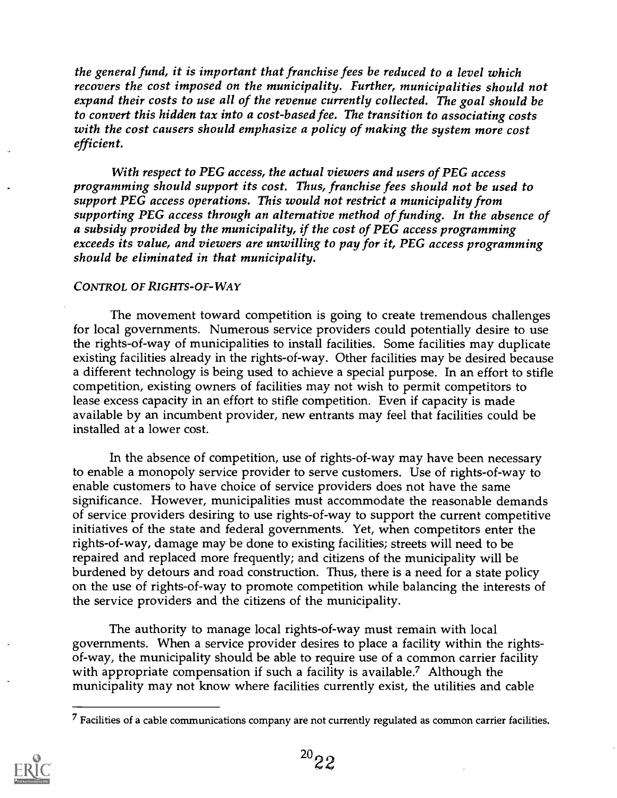the general fund, it is important that franchise fees be reduced to a level which recovers the cost imposed on the municipality. Further, municipalities should not expand their costs to use all of the revenue currently collected. The goal should be to convert this hidden tax into a cost-based fee. The transition to associating costs with the cost causers should emphasize a policy of making the system more cost efficient.

With respect to PEG access, the actual viewers and users of PEG access programming should support its cost. Thus, franchise fees should not be used to support PEG access operations. This would not restrict a municipality from supporting PEG access through an alternative method of funding. In the absence of a subsidy provided by the municipality, if the cost of PEG access programming exceeds its value, and viewers are unwilling to pay for it, PEG access programming should be eliminated in that municipality.

#### CONTROL OF RIGHTS-OF-WAY

The movement toward competition is going to create tremendous challenges for local governments. Numerous service providers could potentially desire to use the rights-of-way of municipalities to install facilities. Some facilities may duplicate existing facilities already in the rights-of-way. Other facilities may be desired because a different technology is being used to achieve a special purpose. In an effort to stifle competition, existing owners of facilities may not wish to permit competitors to lease excess capacity in an effort to stifle competition. Even if capacity is made available by an incumbent provider, new entrants may feel that facilities could be installed at a lower cost.

In the absence of competition, use of rights-of-way may have been necessary to enable a monopoly service provider to serve customers. Use of rights-of-way to enable customers to have choice of service providers does not have the same significance. However, municipalities must accommodate the reasonable demands of service providers desiring to use rights-of-way to support the current competitive initiatives of the state and federal governments. Yet, when competitors enter the rights-of-way, damage may be done to existing facilities; streets will need to be repaired and replaced more frequently; and citizens of the municipality will be burdened by detours and road construction. Thus, there is a need for a state policy on the use of rights-of-way to promote competition while balancing the interests of the service providers and the citizens of the municipality.

The authority to manage local rights-of-way must remain with local governments. When a service provider desires to place a facility within the rightsof-way, the municipality should be able to require use of a common carrier facility with appropriate compensation if such a facility is available.<sup>7</sup> Although the municipality may not know where facilities currently exist, the utilities and cable

 $<sup>7</sup>$  Facilities of a cable communications company are not currently regulated as common carrier facilities.</sup>

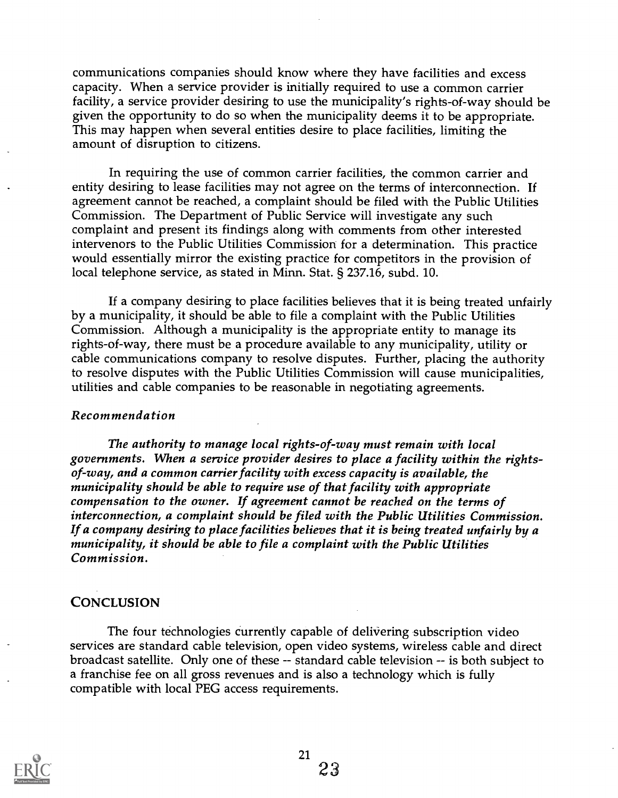communications companies should know where they have facilities and excess capacity. When a service provider is initially required to use a common carrier facility, a service provider desiring to use the municipality's rights-of-way should be given the opportunity to do so when the municipality deems it to be appropriate. This may happen when several entities desire to place facilities, limiting the amount of disruption to citizens.

In requiring the use of common carrier facilities, the common carrier and entity desiring to lease facilities may not agree on the terms of interconnection. If agreement cannot be reached, a complaint should be filed with the Public Utilities Commission. The Department of Public Service will investigate any such complaint and present its findings along with comments from other interested intervenors to the Public Utilities Commission for a determination. This practice would essentially mirror the existing practice for competitors in the provision of local telephone service, as stated in Minn. Stat. § 237.16, subd. 10.

If a company desiring to place facilities believes that it is being treated unfairly by a municipality, it should be able to file a complaint with the Public Utilities Commission. Although a municipality is the appropriate entity to manage its rights-of-way, there must be a procedure available to any municipality, utility or cable communications company to resolve disputes. Further, placing the authority to resolve disputes with the Public Utilities Commission will cause municipalities, utilities and cable companies to be reasonable in negotiating agreements.

#### Recommendation

The authority to manage local rights-of-way must remain with local governments. When a service provider desires to place a facility within the rightsof-way, and a common carrier facility with excess capacity is available, the municipality should be able to require use of that facility with appropriate compensation to the owner. If agreement cannot be reached on the terms of interconnection, a complaint should be filed with the Public Utilities Commission. If a company desiring to place facilities believes that it is being treated unfairly by a municipality, it should be able to file a complaint with the Public Utilities Commission.

#### **CONCLUSION**

The four technologies currently capable of delivering subscription video services are standard cable television, open video systems, wireless cable and direct broadcast satellite. Only one of these -- standard cable television -- is both subject to a franchise fee on all gross revenues and is also a technology which is fully compatible with local PEG access requirements.

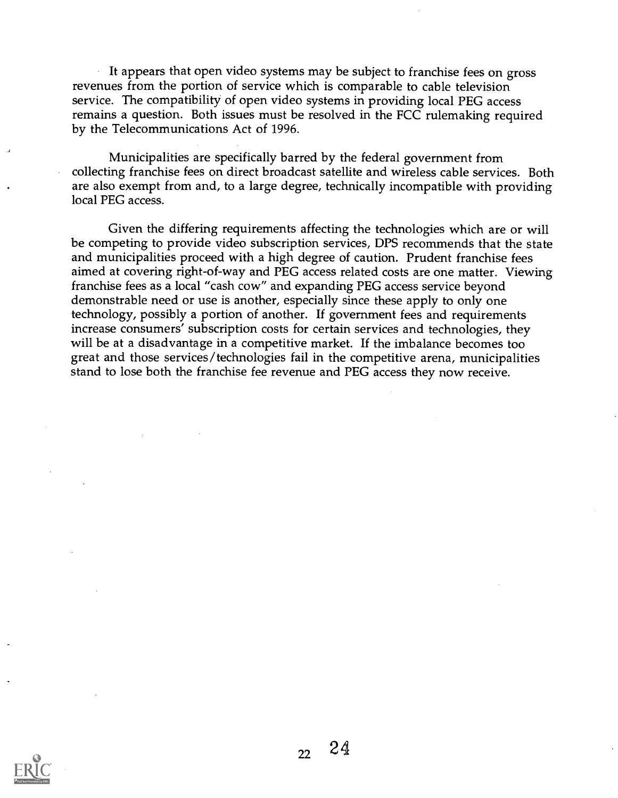It appears that open video systems may be subject to franchise fees on gross revenues from the portion of service which is comparable to cable television service. The compatibility of open video systems in providing local PEG access remains a question. Both issues must be resolved in the FCC rulemaking required by the Telecommunications Act of 1996.

Municipalities are specifically barred by the federal government from collecting franchise fees on direct broadcast satellite and wireless cable services. Both are also exempt from and, to a large degree, technically incompatible with providing local PEG access.

Given the differing requirements affecting the technologies which are or will be competing to provide video subscription services, DPS recommends that the state and municipalities proceed with a high degree of caution. Prudent franchise fees aimed at covering right-of-way and PEG access related costs are one matter. Viewing franchise fees as a local "cash cow" and expanding PEG access service beyond demonstrable need or use is another, especially since these apply to only one technology, possibly a portion of another. If government fees and requirements increase consumers' subscription costs for certain services and technologies, they will be at a disadvantage in a competitive market. If the imbalance becomes too great and those services/technologies fail in the competitive arena, municipalities stand to lose both the franchise fee revenue and PEG access they now receive.

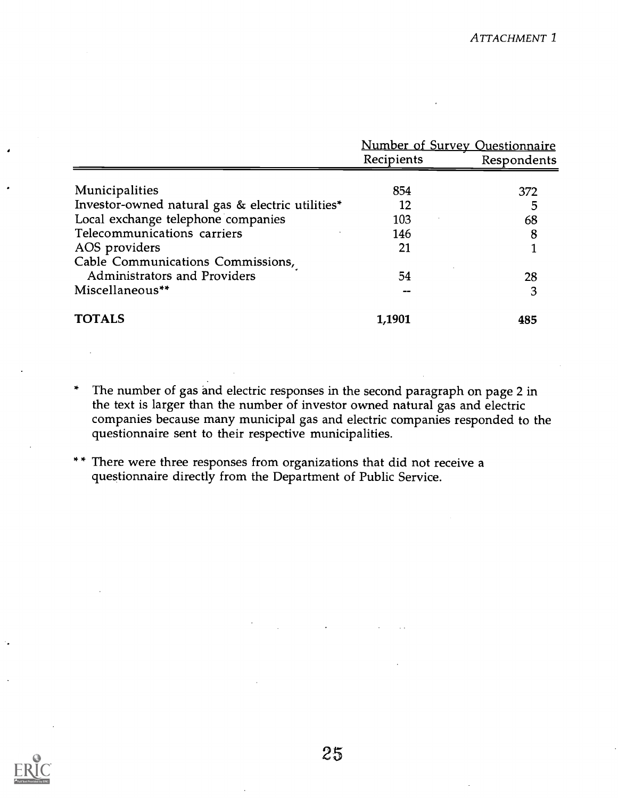|                                                  | Number of Survey Questionnaire |             |
|--------------------------------------------------|--------------------------------|-------------|
|                                                  | Recipients                     | Respondents |
|                                                  |                                |             |
| Municipalities                                   | 854                            | 372         |
| Investor-owned natural gas & electric utilities* | 12                             | 5           |
| Local exchange telephone companies               | 103                            | 68          |
| Telecommunications carriers                      | 146                            | 8           |
| AOS providers                                    | 21                             |             |
| Cable Communications Commissions,                |                                |             |
| Administrators and Providers                     | 54                             | 28          |
| Miscellaneous**                                  |                                | 3           |
| <b>TOTALS</b>                                    | 1,1901                         | 485         |

- The number of gas and electric responses in the second paragraph on page 2 in the text is larger than the number of investor owned natural gas and electric companies because many municipal gas and electric companies responded to the questionnaire sent to their respective municipalities.
- \*\* There were three responses from organizations that did not receive a questionnaire directly from the Department of Public Service.

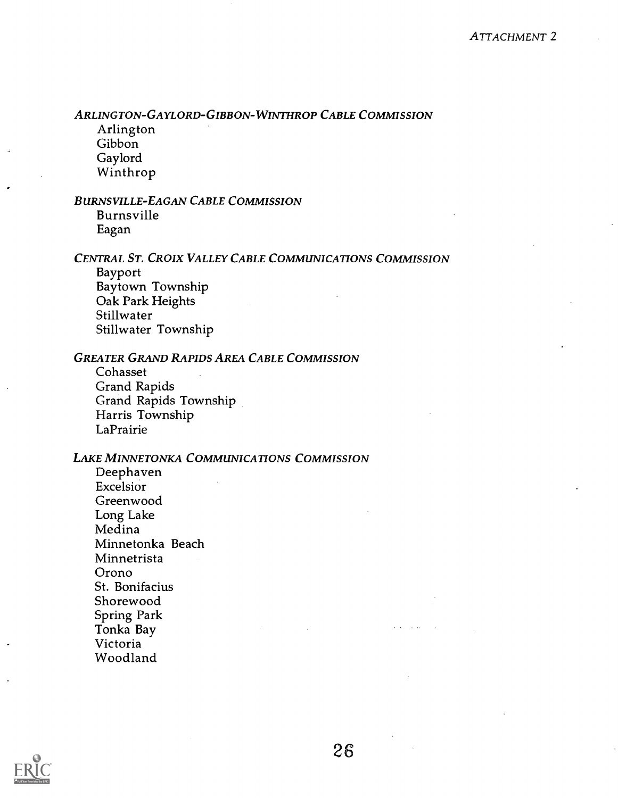ARLINGTON-GAYLORD-GIBBON-WINTHROP CABLE COMMISSION

Arlington Gibbon Gaylord Winthrop

#### BURNSVILLE-EAGAN CABLE COMMISSION

Burnsville Eagan

#### CENTRAL ST. CROIX VALLEY CABLE COMMUNICATIONS COMMISSION

Bayport Baytown Township Oak Park Heights Stillwater Stillwater Township

#### GREATER GRAND RAPIDS AREA CABLE COMMISSION

Cohasset Grand Rapids Grand Rapids Township Harris Township **LaPrairie** 

#### LAKE MINNETONKA COMMUNICATIONS COMMISSION

Deephaven Excelsior Greenwood Long Lake Medina Minnetonka Beach Minnetrista Orono St. Bonifacius Shorewood Spring Park Tonka Bay Victoria Woodland

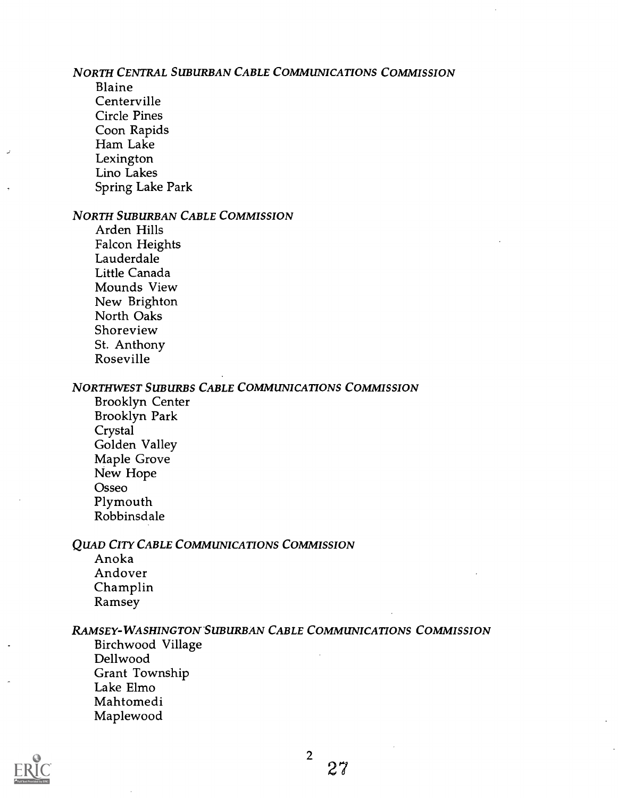#### NORTH CENTRAL SUBURBAN CABLE COMMUNICATIONS COMMISSION

Blaine Centerville Circle Pines Coon Rapids Ham Lake Lexington Lino Lakes Spring Lake Park

#### NORTH SUBURBAN CABLE COMMISSION

Arden Hills Falcon Heights Lauderdale Little Canada Mounds View New Brighton North Oaks Shoreview St. Anthony Roseville

#### NORTHWEST SUBURBS CABLE COMMUNICATIONS COMMISSION

Brooklyn Center Brooklyn Park **Crystal** Golden Valley Maple Grove New Hope Osseo Plymouth Robbinsdale

#### **QUAD CITY CABLE COMMUNICATIONS COMMISSION**

Anoka Andover Champlin Ramsey

#### RAMSEY-WASHINGTON SUBURBAN CABLE COMMUNICATIONS COMMISSION

Birchwood Village Dellwood Grant Township Lake Elmo Mahtomedi Maplewood

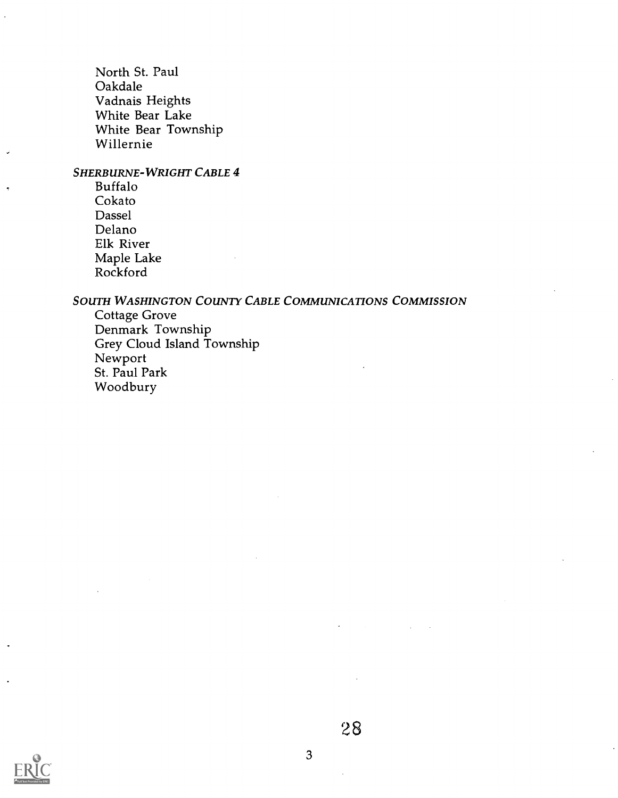North St. Paul Oakdale Vadnais Heights White Bear Lake White Bear Township Willernie

## SHERBURNE-WRIGHT CABLE 4

Buffalo Cokato Dassel Delano Elk River Maple Lake Rockford

#### SOUTH WASHINGTON COUNTY CABLE COMMUNICATIONS COMMISSION

Cottage Grove Denmark Township Grey Cloud Island Township Newport St. Paul Park Woodbury



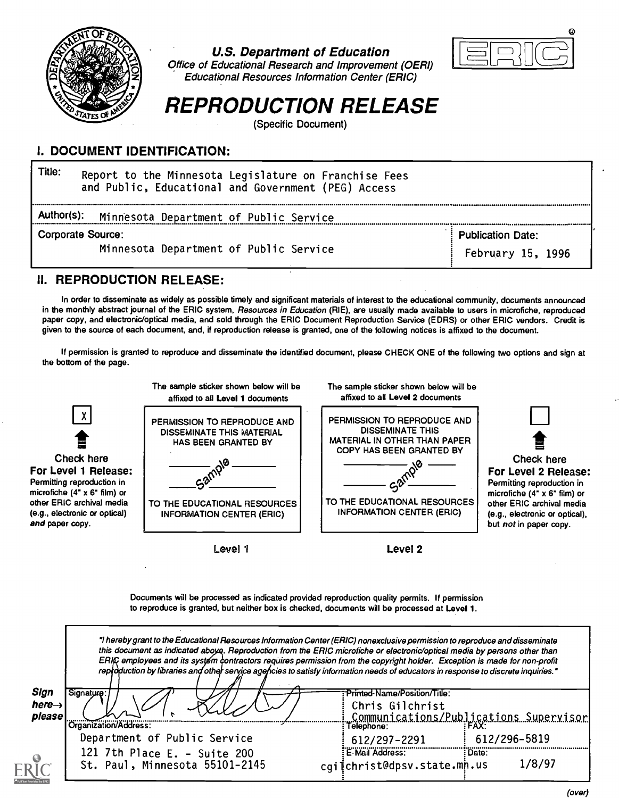

#### U.S. Department of Education



Office of Educational Research and Improvement (OERI) Educational Resources Information Center (ERIC)

# REPRODUCTION RELEASE

(Specific Document)

## I. DOCUMENT IDENTIFICATION:

| Title:<br>Report to the Minnesota Legislature on Franchise Fees<br>and Public, Educational and Government (PEG) Access |                                               |
|------------------------------------------------------------------------------------------------------------------------|-----------------------------------------------|
| Author(s):<br>Minnesota Department of Public Service                                                                   |                                               |
| <b>Corporate Source:</b><br>Minnesota Department of Public Service                                                     | <b>Publication Date:</b><br>February 15, 1996 |

### II. REPRODUCTION RELEASE:

In order to disseminate as widely as possible timely and significant materials of interest to the educational community, documents announced in the monthly abstract journal of the ERIC system, Resources in Education (RIE), are usually made available to users in microfiche, reproduced paper copy, and electronic/optical media, and sold through the ERIC Document Reproduction Service (EDRS) or other ERIC vendors. Credit is given to the source of each document, and, if reproduction release is granted, one of the following notices is affixed to the document.

If permission is granted to reproduce and disseminate the identified document, please CHECK ONE of the following two options and sign at the bottom of the page.



Documents will be processed as indicated provided reproduction quality permits. If permission to reproduce is granted, but neither box is checked, documents will be processed at Level 1.

|                                      | "I hereby grant to the Educational Resources Information Center (ERIC) nonexclusive permission to reproduce and disseminate<br>this document as indicated aboya. Reproduction from the ERIC microfiche or electronic/optical media by persons other than<br>ERIC employees and its system contractors requires permission from the copyright holder. Exception is made for non-profit<br>reproduction by libraries and other service agencies to satisfy information needs of educators in response to discrete inquiries." |                                                   |                                                      |
|--------------------------------------|-----------------------------------------------------------------------------------------------------------------------------------------------------------------------------------------------------------------------------------------------------------------------------------------------------------------------------------------------------------------------------------------------------------------------------------------------------------------------------------------------------------------------------|---------------------------------------------------|------------------------------------------------------|
| Sign<br>$here \rightarrow$<br>please | Signature:                                                                                                                                                                                                                                                                                                                                                                                                                                                                                                                  | : Printed-Name/Position/Title:<br>Chris Gilchrist |                                                      |
|                                      | Organization/Address:                                                                                                                                                                                                                                                                                                                                                                                                                                                                                                       | lelephone:                                        | Communications/Publications Supervisor<br> elephone: |
|                                      | Department of Public Service                                                                                                                                                                                                                                                                                                                                                                                                                                                                                                | 612/297-2291                                      | 612/296-5819                                         |
| $\int_{0}^{0}$                       | 121 7th Place E. - Suite 200<br>St. Paul, Minnesota 55101-2145                                                                                                                                                                                                                                                                                                                                                                                                                                                              | E-Mail Address:<br>cqiichrist@dpsv.state.mn.us    | : Date:<br>1/8/97                                    |